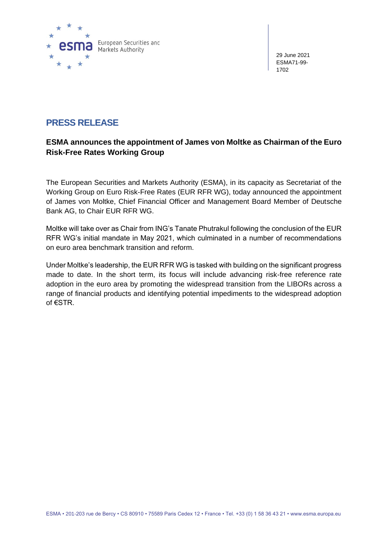

29 June 2021 ESMA71-99- 1702

## **PRESS RELEASE**

## **ESMA announces the appointment of James von Moltke as Chairman of the Euro Risk-Free Rates Working Group**

The European Securities and Markets Authority (ESMA), in its capacity as Secretariat of the Working Group on Euro Risk-Free Rates (EUR RFR WG), today announced the appointment of James von Moltke, Chief Financial Officer and Management Board Member of Deutsche Bank AG, to Chair EUR RFR WG.

Moltke will take over as Chair from ING's Tanate Phutrakul following the conclusion of the EUR RFR WG's initial mandate in May 2021, which culminated in a number of recommendations on euro area benchmark transition and reform.

Under Moltke's leadership, the EUR RFR WG is tasked with building on the significant progress made to date. In the short term, its focus will include advancing risk-free reference rate adoption in the euro area by promoting the widespread transition from the LIBORs across a range of financial products and identifying potential impediments to the widespread adoption of €STR.